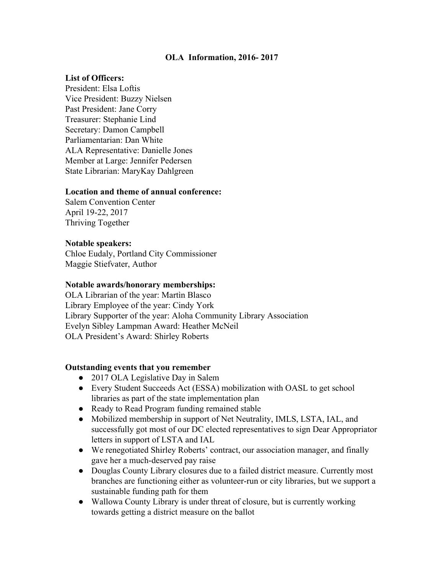# **OLA Information, 2016- 2017**

## **List of Officers:**

President: Elsa Loftis Vice President: Buzzy Nielsen Past President: Jane Corry Treasurer: Stephanie Lind Secretary: Damon Campbell Parliamentarian: Dan White ALA Representative: Danielle Jones Member at Large: Jennifer Pedersen State Librarian: MaryKay Dahlgreen

## **Location and theme of annual conference:**

Salem Convention Center April 19-22, 2017 Thriving Together

### **Notable speakers:**

Chloe Eudaly, Portland City Commissioner Maggie Stiefvater, Author

#### **Notable awards/honorary memberships:**

OLA Librarian of the year: Martìn Blasco Library Employee of the year: Cindy York Library Supporter of the year: Aloha Community Library Association Evelyn Sibley Lampman Award: Heather McNeil OLA President's Award: Shirley Roberts

## **Outstanding events that you remember**

- 2017 OLA Legislative Day in Salem
- Every Student Succeeds Act (ESSA) mobilization with OASL to get school libraries as part of the state implementation plan
- Ready to Read Program funding remained stable
- Mobilized membership in support of Net Neutrality, IMLS, LSTA, IAL, and successfully got most of our DC elected representatives to sign Dear Appropriator letters in support of LSTA and IAL
- We renegotiated Shirley Roberts' contract, our association manager, and finally gave her a much-deserved pay raise
- Douglas County Library closures due to a failed district measure. Currently most branches are functioning either as volunteer-run or city libraries, but we support a sustainable funding path for them
- Wallowa County Library is under threat of closure, but is currently working towards getting a district measure on the ballot